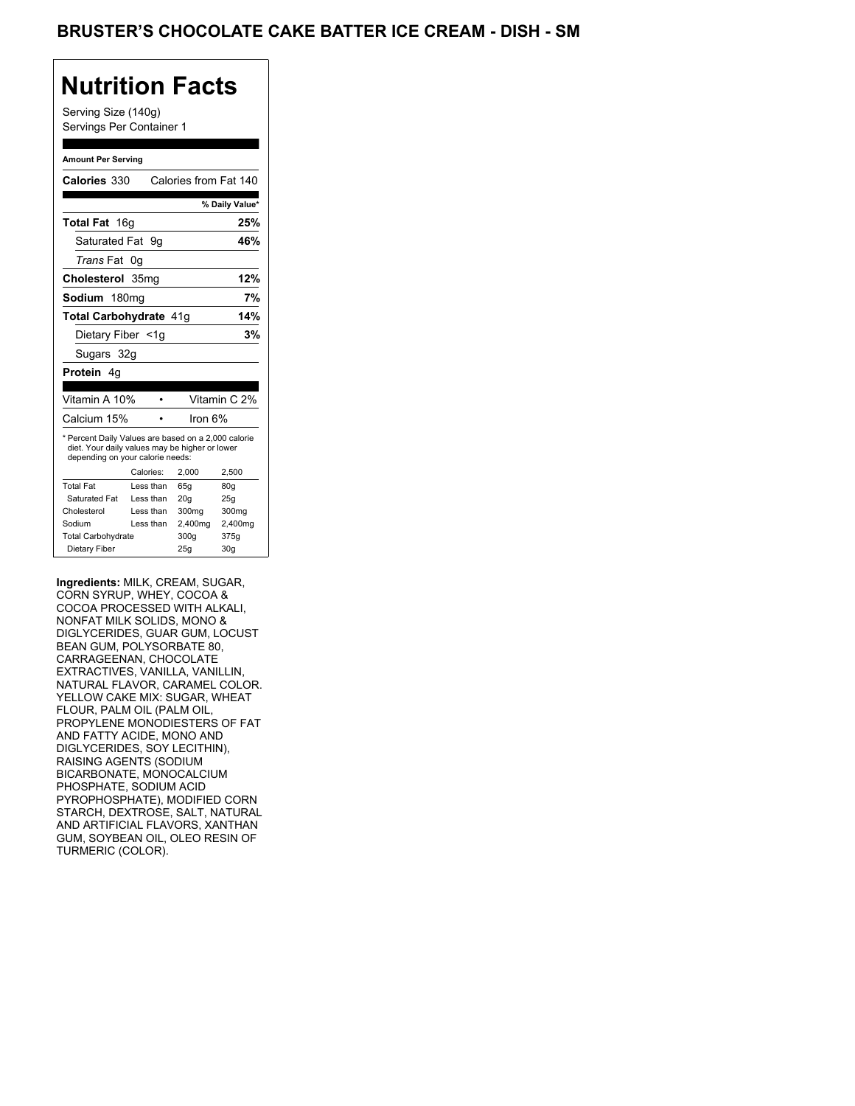Serving Size (140g) Servings Per Container 1

#### **Amount Per Serving**

| Calories 330                                                                                                                              |                  |           | Calories from Fat 140 |                |
|-------------------------------------------------------------------------------------------------------------------------------------------|------------------|-----------|-----------------------|----------------|
|                                                                                                                                           |                  |           |                       | % Daily Value* |
| Total Fat 16g                                                                                                                             |                  |           |                       | 25%            |
| Saturated Fat 9q                                                                                                                          |                  |           |                       | 46%            |
| <i>Trans</i> Fat                                                                                                                          | 0g               |           |                       |                |
| Cholesterol                                                                                                                               | 35 <sub>mg</sub> |           |                       | 12%            |
| Sodium 180mg                                                                                                                              |                  |           |                       | 7%             |
| <b>Total Carbohydrate 41g</b>                                                                                                             |                  |           |                       | 14%            |
| Dietary Fiber <1q                                                                                                                         |                  |           |                       | 3%             |
| Sugars 32g                                                                                                                                |                  |           |                       |                |
| <b>Protein</b> 4q                                                                                                                         |                  |           |                       |                |
|                                                                                                                                           |                  |           |                       |                |
| Vitamin A 10%                                                                                                                             |                  |           |                       | Vitamin C 2%   |
| Calcium 15%                                                                                                                               |                  |           | lron 6%               |                |
| * Percent Daily Values are based on a 2,000 calorie<br>diet. Your daily values may be higher or lower<br>depending on your calorie needs: |                  |           |                       |                |
|                                                                                                                                           |                  | Calories: | 2.000                 | 2,500          |
| <b>Total Fat</b>                                                                                                                          |                  | Less than | 65q                   | 80q            |
| Saturated Fat                                                                                                                             |                  | Less than | 20q                   | 25q            |
| Cholesterol                                                                                                                               |                  | Less than | 300 <sub>mq</sub>     | 300mg          |
| Sodium                                                                                                                                    |                  | Less than | 2,400mg               | 2,400mg        |
| <b>Total Carbohydrate</b>                                                                                                                 |                  |           | 300g                  | 375g           |
| Dietary Fiber                                                                                                                             |                  |           | 25q                   | 30q            |

**Ingredients:** MILK, CREAM, SUGAR, CORN SYRUP, WHEY, COCOA & COCOA PROCESSED WITH ALKALI, NONFAT MILK SOLIDS, MONO & DIGLYCERIDES, GUAR GUM, LOCUST BEAN GUM, POLYSORBATE 80, CARRAGEENAN, CHOCOLATE EXTRACTIVES, VANILLA, VANILLIN, NATURAL FLAVOR, CARAMEL COLOR. YELLOW CAKE MIX: SUGAR, WHEAT FLOUR, PALM OIL (PALM OIL, PROPYLENE MONODIESTERS OF FAT AND FATTY ACIDE, MONO AND DIGLYCERIDES, SOY LECITHIN), RAISING AGENTS (SODIUM BICARBONATE, MONOCALCIUM PHOSPHATE, SODIUM ACID PYROPHOSPHATE), MODIFIED CORN STARCH, DEXTROSE, SALT, NATURAL AND ARTIFICIAL FLAVORS, XANTHAN GUM, SOYBEAN OIL, OLEO RESIN OF TURMERIC (COLOR).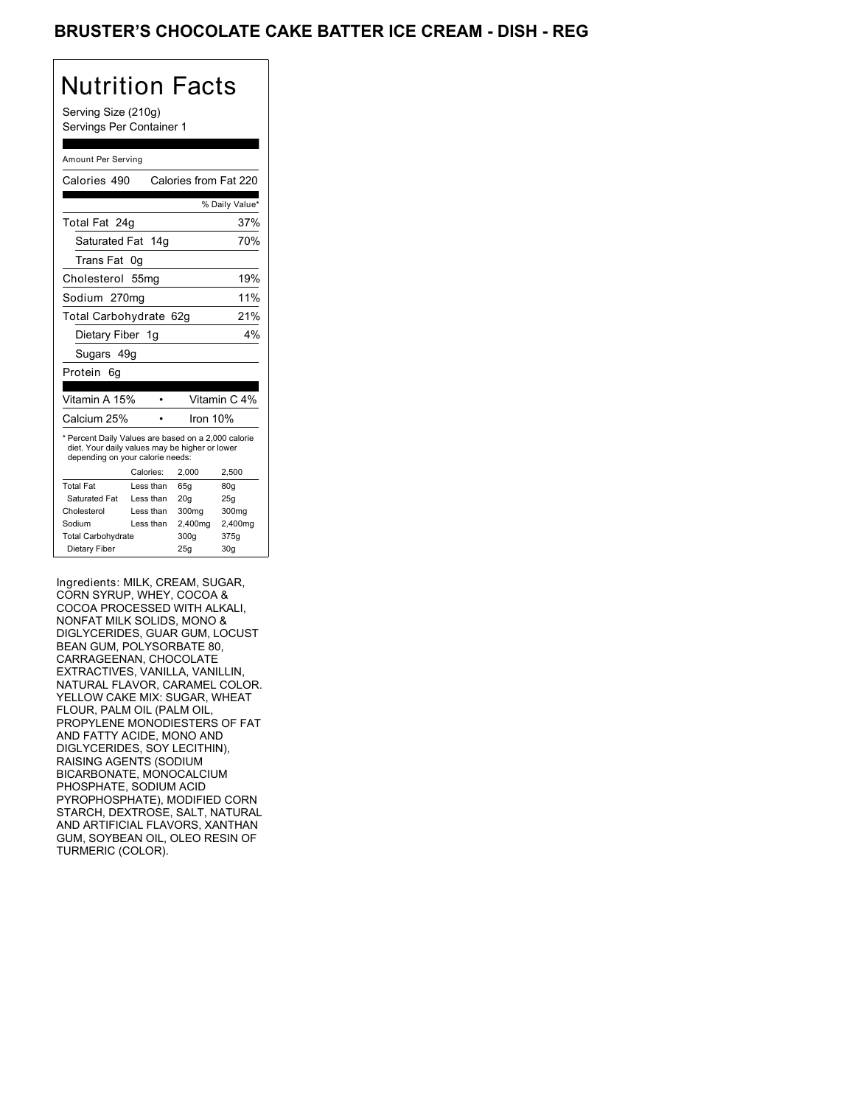## BRUSTER'S CHOCOLATE CAKE BATTER ICE CREAM - DISH - REG

# Nutrition Facts

Serving Size (210g) Servings Per Container 1

#### Amount Per Serving

| Calories 490                                                                                                                              |                  | Calories from Fat 220 |                 |
|-------------------------------------------------------------------------------------------------------------------------------------------|------------------|-----------------------|-----------------|
|                                                                                                                                           |                  |                       | % Daily Value*  |
| Total Fat 24g                                                                                                                             |                  |                       | 37%             |
| Saturated Fat 14g                                                                                                                         |                  |                       | 70%             |
| Trans Fat                                                                                                                                 | 0q               |                       |                 |
| Cholesterol                                                                                                                               | 55 <sub>mg</sub> |                       | 19%             |
| Sodium 270mg                                                                                                                              |                  |                       | 11%             |
| Total Carbohydrate 62g                                                                                                                    |                  |                       | 21%             |
| Dietary Fiber 1g                                                                                                                          |                  |                       | 4%              |
| Sugars 49g                                                                                                                                |                  |                       |                 |
| Protein<br>6q                                                                                                                             |                  |                       |                 |
|                                                                                                                                           |                  |                       |                 |
| Vitamin A 15%                                                                                                                             |                  |                       | Vitamin C 4%    |
| Calcium 25%                                                                                                                               |                  | Iron 10%              |                 |
| * Percent Daily Values are based on a 2,000 calorie<br>diet. Your daily values may be higher or lower<br>depending on your calorie needs: |                  |                       |                 |
|                                                                                                                                           | Calories:        | 2.000                 | 2,500           |
| <b>Total Fat</b>                                                                                                                          | Less than        | 65q                   | 80q             |
| Saturated Fat                                                                                                                             | Less than        | 20q                   | 25q             |
| Cholesterol                                                                                                                               | Less than        | 300mg                 | 300mg           |
| Sodium                                                                                                                                    | Less than        | 2,400mg               | 2,400mg         |
| <b>Total Carbohydrate</b>                                                                                                                 |                  | 300g                  | 375g            |
| Dietary Fiber                                                                                                                             |                  | 25q                   | 30 <sub>g</sub> |

Ingredients: MILK, CREAM, SUGAR, CORN SYRUP, WHEY, COCOA & COCOA PROCESSED WITH ALKALI, NONFAT MILK SOLIDS, MONO & DIGLYCERIDES, GUAR GUM, LOCUST BEAN GUM, POLYSORBATE 80, CARRAGEENAN, CHOCOLATE EXTRACTIVES, VANILLA, VANILLIN, NATURAL FLAVOR, CARAMEL COLOR. YELLOW CAKE MIX: SUGAR, WHEAT FLOUR, PALM OIL (PALM OIL, PROPYLENE MONODIESTERS OF FAT AND FATTY ACIDE, MONO AND DIGLYCERIDES, SOY LECITHIN), RAISING AGENTS (SODIUM BICARBONATE, MONOCALCIUM PHOSPHATE, SODIUM ACID PYROPHOSPHATE), MODIFIED CORN STARCH, DEXTROSE, SALT, NATURAL AND ARTIFICIAL FLAVORS, XANTHAN GUM, SOYBEAN OIL, OLEO RESIN OF TURMERIC (COLOR).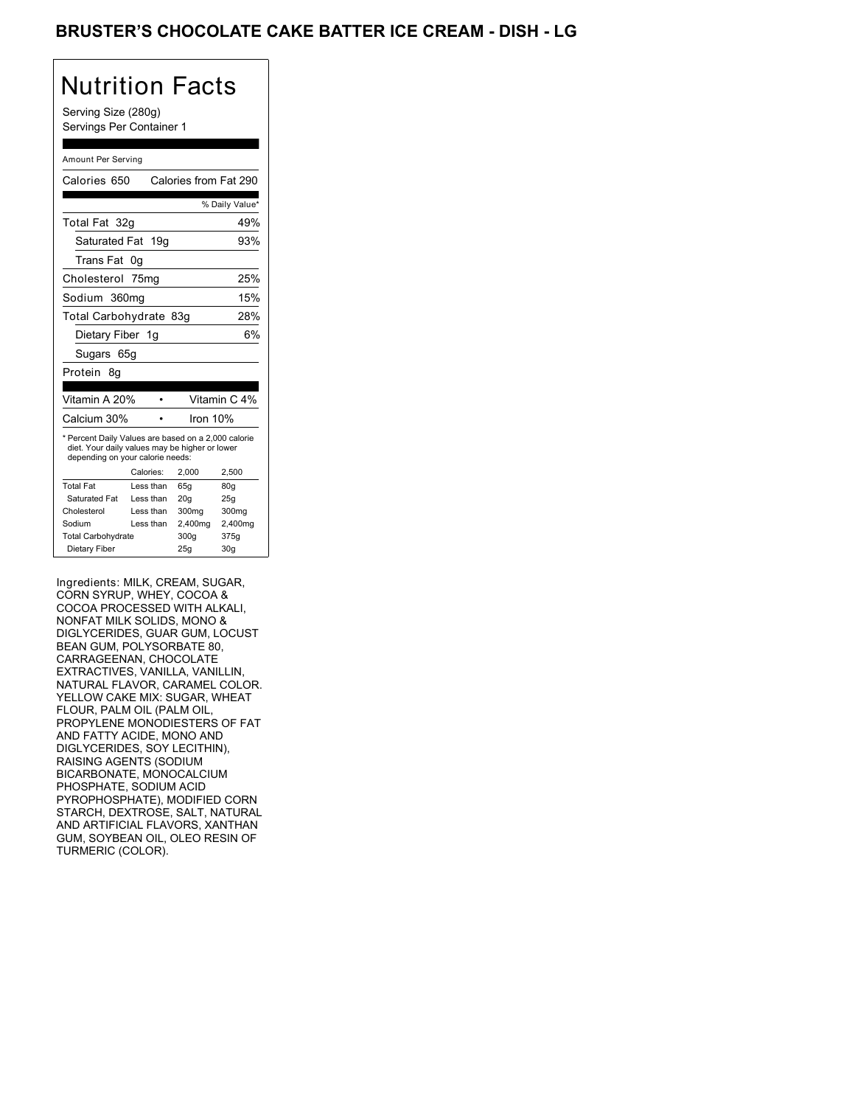## BRUSTER'S CHOCOLATE CAKE BATTER ICE CREAM - DISH - LG

# Nutrition Facts

Serving Size (280g) Servings Per Container 1

#### Amount Per Serving

| Calories 650                                                                                                                              |           | Calories from Fat 290 |                |
|-------------------------------------------------------------------------------------------------------------------------------------------|-----------|-----------------------|----------------|
|                                                                                                                                           |           |                       | % Daily Value* |
| Total Fat 32q                                                                                                                             |           |                       | 49%            |
| Saturated Fat 19g                                                                                                                         |           |                       | 93%            |
| Trans Fat                                                                                                                                 | 0g        |                       |                |
| Cholesterol 75mg                                                                                                                          |           |                       | 25%            |
| Sodium 360mg                                                                                                                              |           |                       | 15%            |
| Total Carbohydrate 83g                                                                                                                    |           |                       | 28%            |
| Dietary Fiber 1g                                                                                                                          |           |                       | 6%             |
| Sugars 65g                                                                                                                                |           |                       |                |
| Protein<br>8α                                                                                                                             |           |                       |                |
|                                                                                                                                           |           |                       |                |
|                                                                                                                                           |           |                       |                |
| Vitamin A 20%                                                                                                                             |           |                       | Vitamin C 4%   |
| Calcium 30%                                                                                                                               |           | Iron 10%              |                |
| * Percent Daily Values are based on a 2,000 calorie<br>diet. Your daily values may be higher or lower<br>depending on your calorie needs: |           |                       |                |
|                                                                                                                                           | Calories: | 2,000                 | 2,500          |
| <b>Total Fat</b>                                                                                                                          | Less than | 65g                   | 80q            |
| Saturated Fat                                                                                                                             | Less than | 20q                   | 25q            |
| Cholesterol                                                                                                                               | Less than | 300mg                 | 300mg          |
| Sodium                                                                                                                                    | Less than | 2,400mg               | 2,400mg        |
| <b>Total Carbohydrate</b>                                                                                                                 |           | 300g                  | 375g           |

Ingredients: MILK, CREAM, SUGAR, CORN SYRUP, WHEY, COCOA & COCOA PROCESSED WITH ALKALI, NONFAT MILK SOLIDS, MONO & DIGLYCERIDES, GUAR GUM, LOCUST BEAN GUM, POLYSORBATE 80, CARRAGEENAN, CHOCOLATE EXTRACTIVES, VANILLA, VANILLIN, NATURAL FLAVOR, CARAMEL COLOR. YELLOW CAKE MIX: SUGAR, WHEAT FLOUR, PALM OIL (PALM OIL, PROPYLENE MONODIESTERS OF FAT AND FATTY ACIDE, MONO AND DIGLYCERIDES, SOY LECITHIN), RAISING AGENTS (SODIUM BICARBONATE, MONOCALCIUM PHOSPHATE, SODIUM ACID PYROPHOSPHATE), MODIFIED CORN STARCH, DEXTROSE, SALT, NATURAL AND ARTIFICIAL FLAVORS, XANTHAN GUM, SOYBEAN OIL, OLEO RESIN OF TURMERIC (COLOR).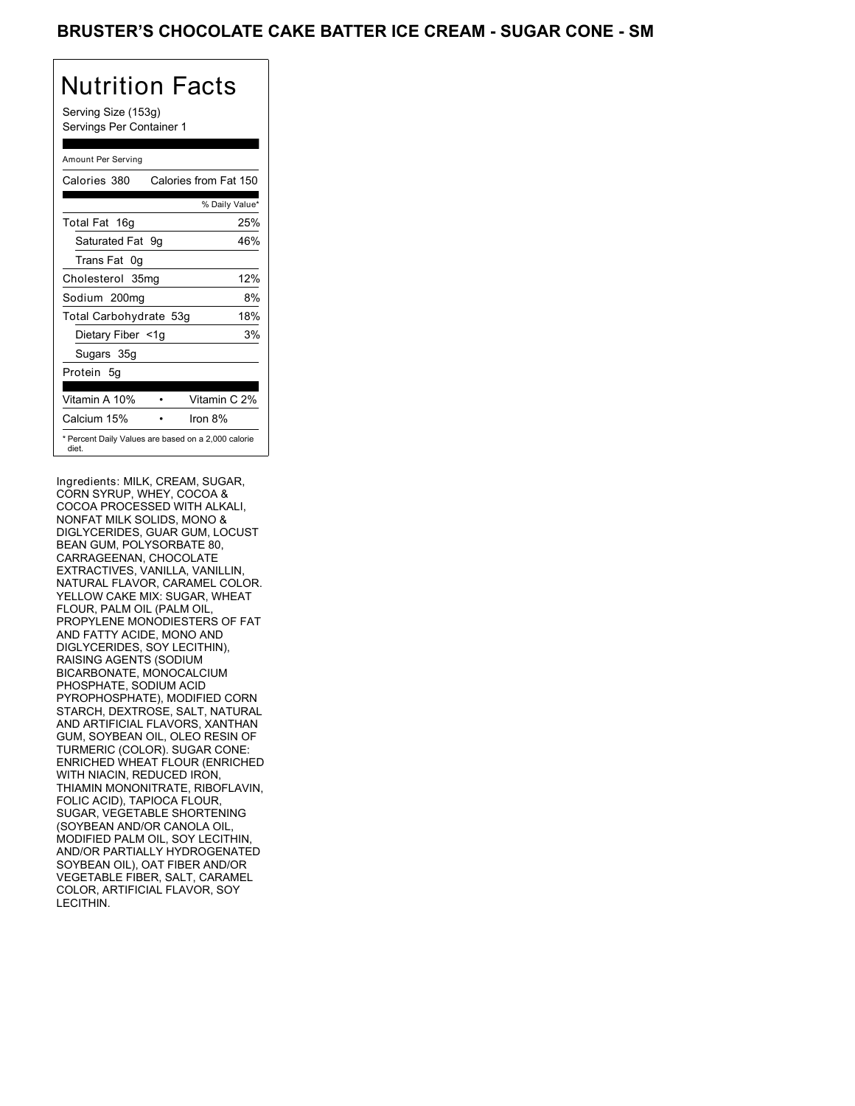Serving Size (153g) Servings Per Container 1

#### Amount Per Serving

| Calories 380           | Calories from Fat 150                               |
|------------------------|-----------------------------------------------------|
|                        | % Daily Value*                                      |
| Total Fat 16g          | 25%                                                 |
| Saturated Fat 9g       | 46%                                                 |
| Trans Fat 0q           |                                                     |
| Cholesterol 35mg       | 12%                                                 |
| Sodium 200mg           | 8%                                                  |
| Total Carbohydrate 53g | 18%                                                 |
| Dietary Fiber <1g      | 3%                                                  |
| Sugars 35g             |                                                     |
| Protein 5g             |                                                     |
| Vitamin A 10%          | Vitamin C 2%                                        |
| Calcium 15%            | Iron $8\%$                                          |
| diet.                  | * Percent Daily Values are based on a 2,000 calorie |

Ingredients: MILK, CREAM, SUGAR, CORN SYRUP, WHEY, COCOA & COCOA PROCESSED WITH ALKALI, NONFAT MILK SOLIDS, MONO & DIGLYCERIDES, GUAR GUM, LOCUST BEAN GUM, POLYSORBATE 80, CARRAGEENAN, CHOCOLATE EXTRACTIVES, VANILLA, VANILLIN, NATURAL FLAVOR, CARAMEL COLOR. YELLOW CAKE MIX: SUGAR, WHEAT FLOUR, PALM OIL (PALM OIL, PROPYLENE MONODIESTERS OF FAT AND FATTY ACIDE, MONO AND DIGLYCERIDES, SOY LECITHIN), RAISING AGENTS (SODIUM BICARBONATE, MONOCALCIUM PHOSPHATE, SODIUM ACID PYROPHOSPHATE), MODIFIED CORN STARCH, DEXTROSE, SALT, NATURAL AND ARTIFICIAL FLAVORS, XANTHAN GUM, SOYBEAN OIL, OLEO RESIN OF TURMERIC (COLOR). SUGAR CONE: ENRICHED WHEAT FLOUR (ENRICHED WITH NIACIN, REDUCED IRON, THIAMIN MONONITRATE, RIBOFLAVIN, FOLIC ACID), TAPIOCA FLOUR, SUGAR, VEGETABLE SHORTENING (SOYBEAN AND/OR CANOLA OIL, MODIFIED PALM OIL, SOY LECITHIN, AND/OR PARTIALLY HYDROGENATED SOYBEAN OIL), OAT FIBER AND/OR VEGETABLE FIBER, SALT, CARAMEL COLOR, ARTIFICIAL FLAVOR, SOY LECITHIN.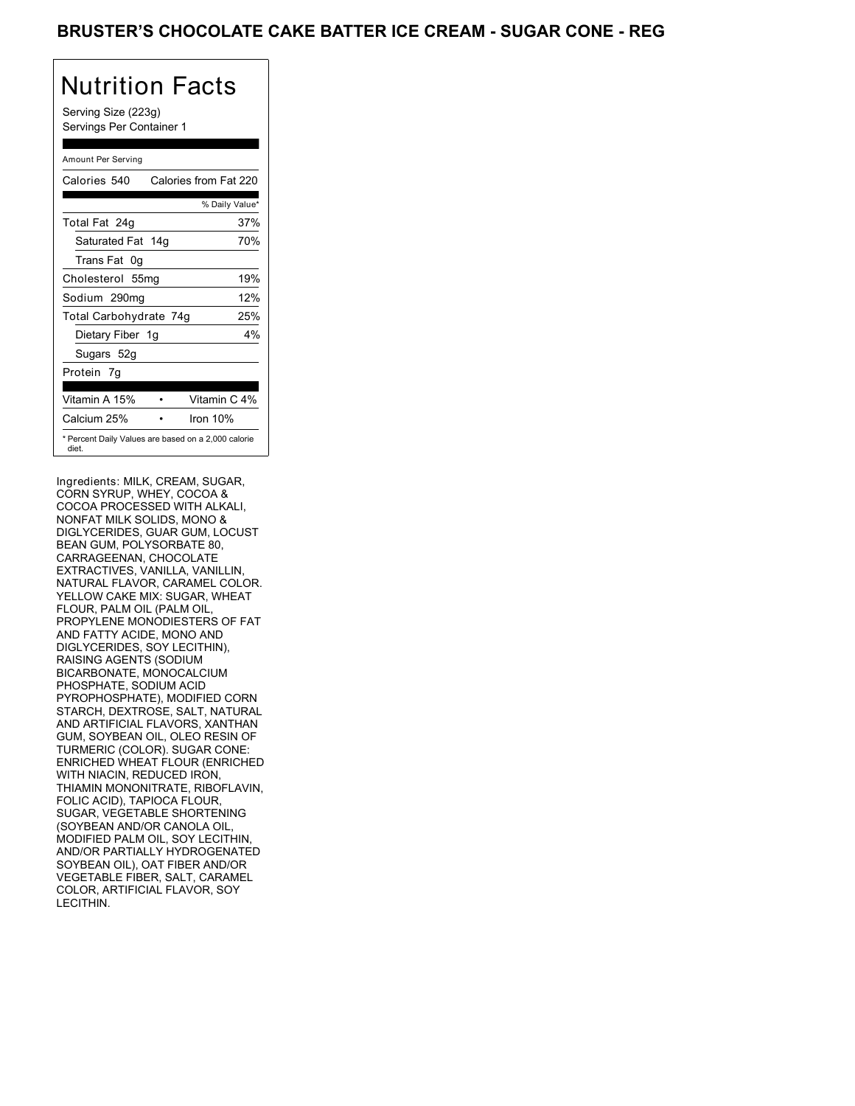## BRUSTER'S CHOCOLATE CAKE BATTER ICE CREAM - SUGAR CONE - REG

# Nutrition Facts

Serving Size (223g) Servings Per Container 1

#### Amount Per Serving

| Calories 540                                                 | Calories from Fat 220 |
|--------------------------------------------------------------|-----------------------|
|                                                              | % Daily Value*        |
| Total Fat 24g                                                | 37%                   |
| Saturated Fat 14g                                            | 70%                   |
| Trans Fat 0q                                                 |                       |
| Cholesterol 55mg                                             | 19%                   |
| Sodium 290mg                                                 | 12%                   |
| Total Carbohydrate 74g                                       | 25%                   |
| Dietary Fiber 1g                                             | $4\%$                 |
| Sugars 52g                                                   |                       |
| Protein 7q                                                   |                       |
| Vitamin A 15%                                                | Vitamin C 4%          |
| Calcium 25%                                                  | Iron $10%$            |
| * Percent Daily Values are based on a 2,000 calorie<br>diet. |                       |

Ingredients: MILK, CREAM, SUGAR, CORN SYRUP, WHEY, COCOA & COCOA PROCESSED WITH ALKALI, NONFAT MILK SOLIDS, MONO & DIGLYCERIDES, GUAR GUM, LOCUST BEAN GUM, POLYSORBATE 80, CARRAGEENAN, CHOCOLATE EXTRACTIVES, VANILLA, VANILLIN, NATURAL FLAVOR, CARAMEL COLOR. YELLOW CAKE MIX: SUGAR, WHEAT FLOUR, PALM OIL (PALM OIL, PROPYLENE MONODIESTERS OF FAT AND FATTY ACIDE, MONO AND DIGLYCERIDES, SOY LECITHIN), RAISING AGENTS (SODIUM BICARBONATE, MONOCALCIUM PHOSPHATE, SODIUM ACID PYROPHOSPHATE), MODIFIED CORN STARCH, DEXTROSE, SALT, NATURAL AND ARTIFICIAL FLAVORS, XANTHAN GUM, SOYBEAN OIL, OLEO RESIN OF TURMERIC (COLOR). SUGAR CONE: ENRICHED WHEAT FLOUR (ENRICHED WITH NIACIN, REDUCED IRON, THIAMIN MONONITRATE, RIBOFLAVIN, FOLIC ACID), TAPIOCA FLOUR, SUGAR, VEGETABLE SHORTENING (SOYBEAN AND/OR CANOLA OIL, MODIFIED PALM OIL, SOY LECITHIN, AND/OR PARTIALLY HYDROGENATED SOYBEAN OIL), OAT FIBER AND/OR VEGETABLE FIBER, SALT, CARAMEL COLOR, ARTIFICIAL FLAVOR, SOY LECITHIN.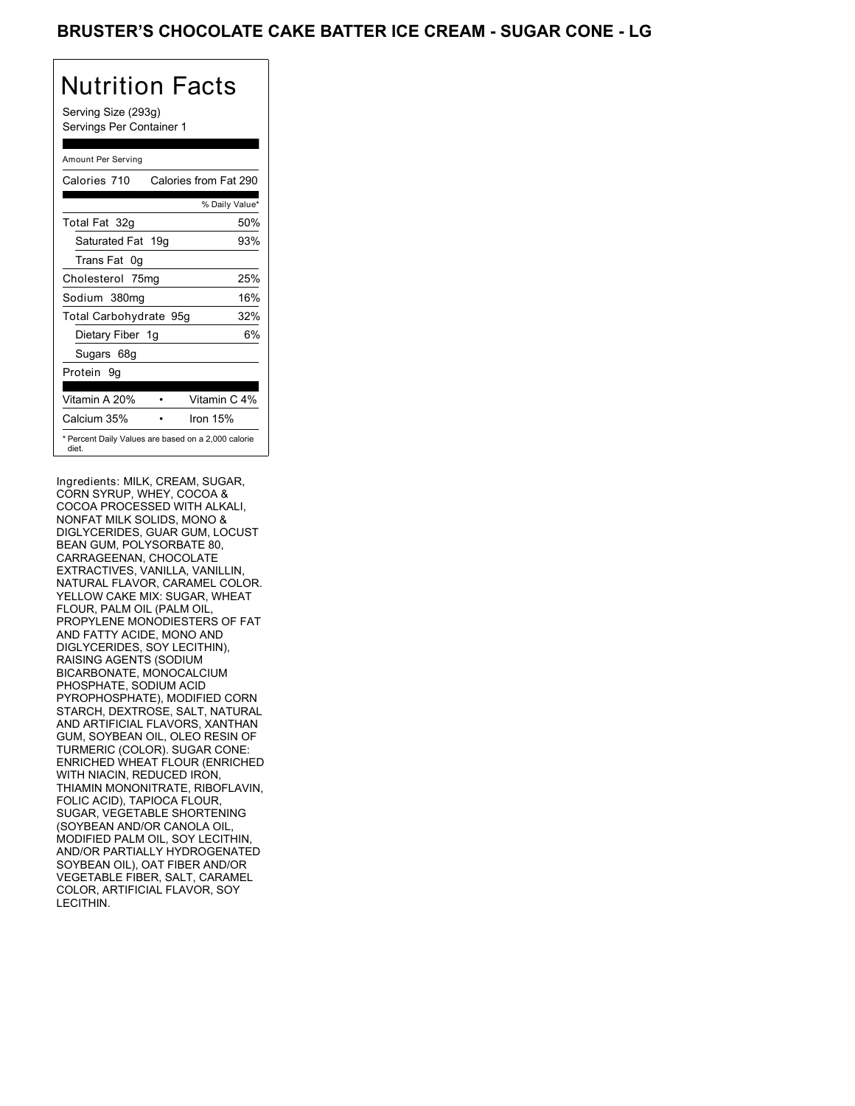Serving Size (293g) Servings Per Container 1

#### Amount Per Serving

| Calories 710                                                 | Calories from Fat 290 |
|--------------------------------------------------------------|-----------------------|
|                                                              | % Daily Value*        |
| Total Fat 32g                                                | 50%                   |
| Saturated Fat 19g                                            | 93%                   |
| Trans Fat 0q                                                 |                       |
| Cholesterol 75mg                                             | 25%                   |
| Sodium 380mg                                                 | 16%                   |
| Total Carbohydrate 95g                                       | 32%                   |
| Dietary Fiber 1g                                             | 6%                    |
| Sugars 68g                                                   |                       |
| Protein 9q                                                   |                       |
| Vitamin A 20%                                                | Vitamin C 4%          |
| Calcium 35%                                                  | Iron $15%$            |
| * Percent Daily Values are based on a 2,000 calorie<br>diet. |                       |

Ingredients: MILK, CREAM, SUGAR, CORN SYRUP, WHEY, COCOA & COCOA PROCESSED WITH ALKALI, NONFAT MILK SOLIDS, MONO & DIGLYCERIDES, GUAR GUM, LOCUST BEAN GUM, POLYSORBATE 80, CARRAGEENAN, CHOCOLATE EXTRACTIVES, VANILLA, VANILLIN, NATURAL FLAVOR, CARAMEL COLOR. YELLOW CAKE MIX: SUGAR, WHEAT FLOUR, PALM OIL (PALM OIL, PROPYLENE MONODIESTERS OF FAT AND FATTY ACIDE, MONO AND DIGLYCERIDES, SOY LECITHIN), RAISING AGENTS (SODIUM BICARBONATE, MONOCALCIUM PHOSPHATE, SODIUM ACID PYROPHOSPHATE), MODIFIED CORN STARCH, DEXTROSE, SALT, NATURAL AND ARTIFICIAL FLAVORS, XANTHAN GUM, SOYBEAN OIL, OLEO RESIN OF TURMERIC (COLOR). SUGAR CONE: ENRICHED WHEAT FLOUR (ENRICHED WITH NIACIN, REDUCED IRON, THIAMIN MONONITRATE, RIBOFLAVIN, FOLIC ACID), TAPIOCA FLOUR, SUGAR, VEGETABLE SHORTENING (SOYBEAN AND/OR CANOLA OIL, MODIFIED PALM OIL, SOY LECITHIN, AND/OR PARTIALLY HYDROGENATED SOYBEAN OIL), OAT FIBER AND/OR VEGETABLE FIBER, SALT, CARAMEL COLOR, ARTIFICIAL FLAVOR, SOY LECITHIN.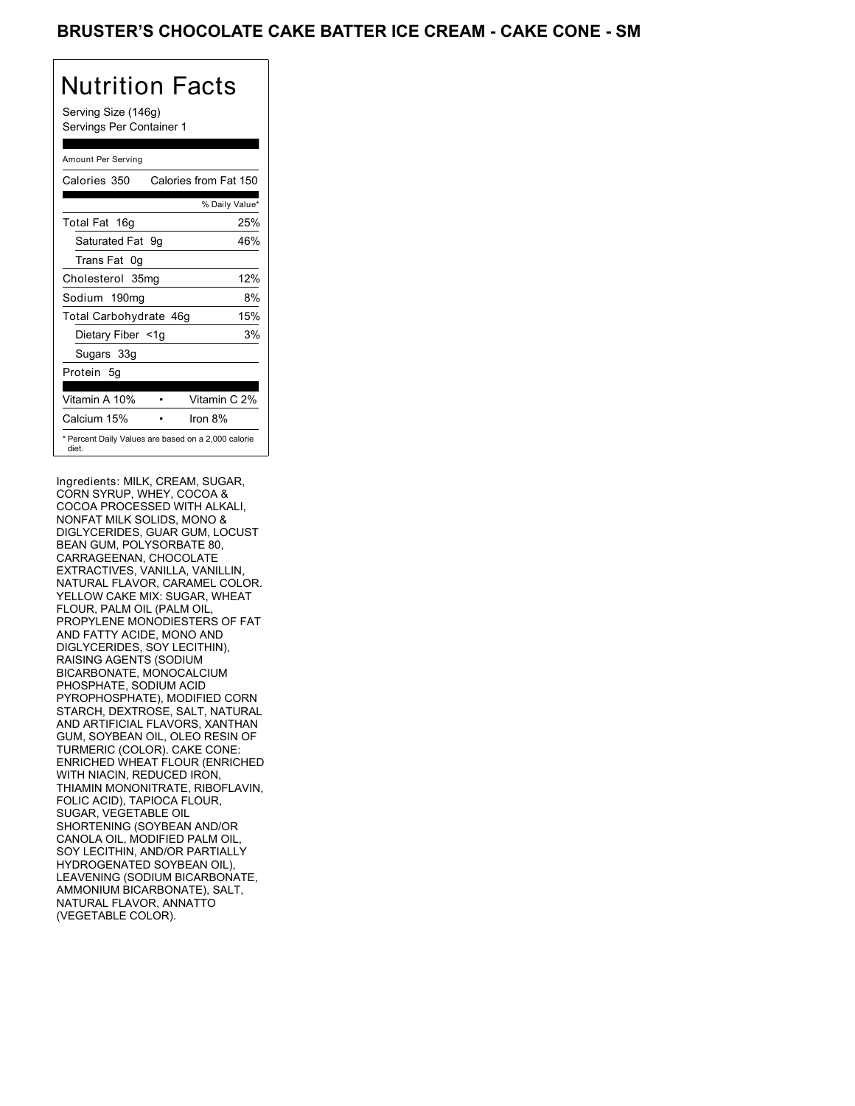## BRUSTER'S CHOCOLATE CAKE BATTER ICE CREAM - CAKE CONE - SM

# Nutrition Facts

Serving Size (146g) Servings Per Container 1

#### Amount Per Serving

| Calories 350           | Calories from Fat 150                               |
|------------------------|-----------------------------------------------------|
|                        | % Daily Value*                                      |
| Total Fat 16g          | 25%                                                 |
| Saturated Fat 9q       | 46%                                                 |
| Trans Fat 0q           |                                                     |
| Cholesterol 35mg       | 12%                                                 |
| Sodium 190mg           | 8%                                                  |
| Total Carbohydrate 46g | 15%                                                 |
| Dietary Fiber <1g      | 3%                                                  |
| Sugars 33g             |                                                     |
| Protein 5q             |                                                     |
| Vitamin A 10%          | Vitamin C 2%                                        |
| Calcium 15%            | Iron $8\%$                                          |
| diet.                  | * Percent Daily Values are based on a 2,000 calorie |

Ingredients: MILK, CREAM, SUGAR, CORN SYRUP, WHEY, COCOA & COCOA PROCESSED WITH ALKALI, NONFAT MILK SOLIDS, MONO & DIGLYCERIDES, GUAR GUM, LOCUST BEAN GUM, POLYSORBATE 80, CARRAGEENAN, CHOCOLATE EXTRACTIVES, VANILLA, VANILLIN, NATURAL FLAVOR, CARAMEL COLOR. YELLOW CAKE MIX: SUGAR, WHEAT FLOUR, PALM OIL (PALM OIL, PROPYLENE MONODIESTERS OF FAT AND FATTY ACIDE, MONO AND DIGLYCERIDES, SOY LECITHIN), RAISING AGENTS (SODIUM BICARBONATE, MONOCALCIUM PHOSPHATE, SODIUM ACID PYROPHOSPHATE), MODIFIED CORN STARCH, DEXTROSE, SALT, NATURAL AND ARTIFICIAL FLAVORS, XANTHAN GUM, SOYBEAN OIL, OLEO RESIN OF TURMERIC (COLOR). CAKE CONE: ENRICHED WHEAT FLOUR (ENRICHED WITH NIACIN, REDUCED IRON, THIAMIN MONONITRATE, RIBOFLAVIN, FOLIC ACID), TAPIOCA FLOUR, SUGAR, VEGETABLE OIL SHORTENING (SOYBEAN AND/OR CANOLA OIL, MODIFIED PALM OIL, SOY LECITHIN, AND/OR PARTIALLY HYDROGENATED SOYBEAN OIL), LEAVENING (SODIUM BICARBONATE, AMMONIUM BICARBONATE), SALT, NATURAL FLAVOR, ANNATTO (VEGETABLE COLOR).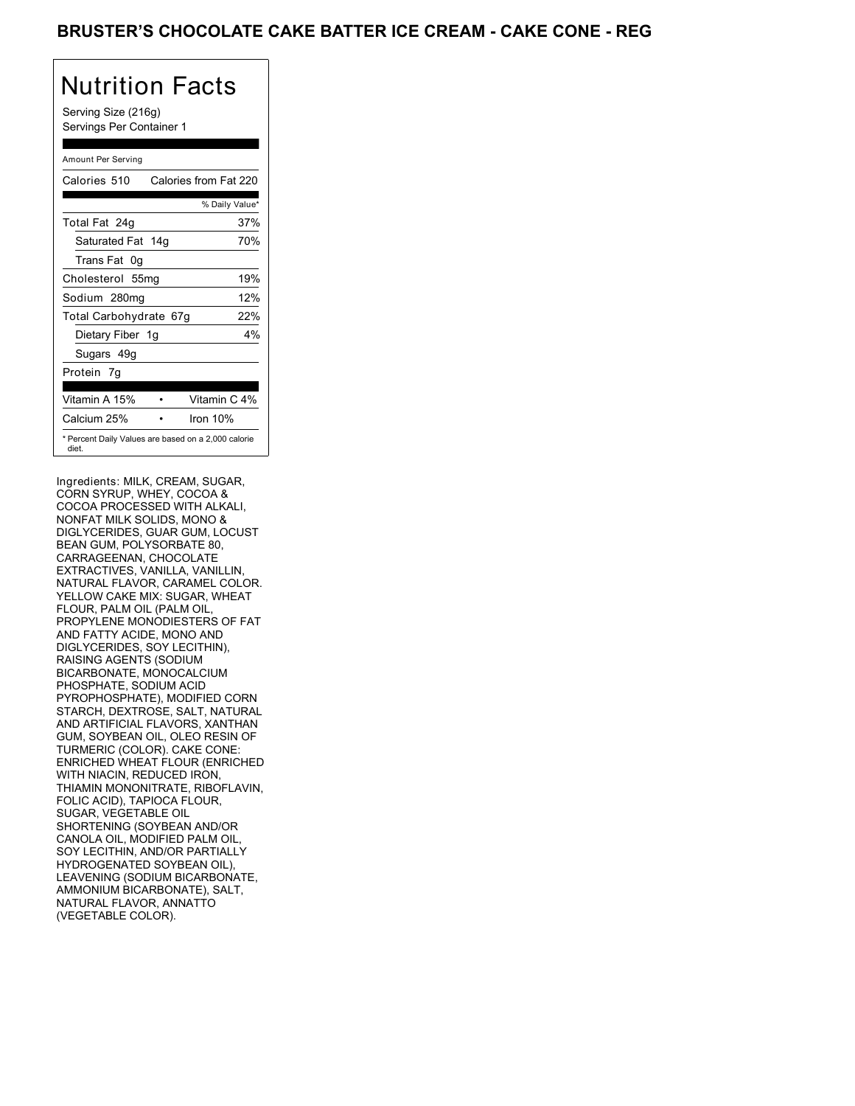## BRUSTER'S CHOCOLATE CAKE BATTER ICE CREAM - CAKE CONE - REG

## Nutrition Facts

Serving Size (216g) Servings Per Container 1

#### Amount Per Serving

| Calories 510                                                 | Calories from Fat 220 |
|--------------------------------------------------------------|-----------------------|
|                                                              | % Daily Value*        |
| Total Fat 24g                                                | 37%                   |
| Saturated Fat 14g                                            | 70%                   |
| Trans Fat 0q                                                 |                       |
| Cholesterol 55mg                                             | 19%                   |
| Sodium 280mg                                                 | 12%                   |
| Total Carbohydrate 67g                                       | 22%                   |
| Dietary Fiber 1g                                             | $4\%$                 |
| Sugars 49g                                                   |                       |
| Protein 7q                                                   |                       |
| Vitamin A 15%                                                | Vitamin C 4%          |
| Calcium 25%                                                  | Iron $10%$            |
| * Percent Daily Values are based on a 2,000 calorie<br>diet. |                       |

Ingredients: MILK, CREAM, SUGAR, CORN SYRUP, WHEY, COCOA & COCOA PROCESSED WITH ALKALI, NONFAT MILK SOLIDS, MONO & DIGLYCERIDES, GUAR GUM, LOCUST BEAN GUM, POLYSORBATE 80, CARRAGEENAN, CHOCOLATE EXTRACTIVES, VANILLA, VANILLIN, NATURAL FLAVOR, CARAMEL COLOR. YELLOW CAKE MIX: SUGAR, WHEAT FLOUR, PALM OIL (PALM OIL, PROPYLENE MONODIESTERS OF FAT AND FATTY ACIDE, MONO AND DIGLYCERIDES, SOY LECITHIN), RAISING AGENTS (SODIUM BICARBONATE, MONOCALCIUM PHOSPHATE, SODIUM ACID PYROPHOSPHATE), MODIFIED CORN STARCH, DEXTROSE, SALT, NATURAL AND ARTIFICIAL FLAVORS, XANTHAN GUM, SOYBEAN OIL, OLEO RESIN OF TURMERIC (COLOR). CAKE CONE: ENRICHED WHEAT FLOUR (ENRICHED WITH NIACIN, REDUCED IRON, THIAMIN MONONITRATE, RIBOFLAVIN, FOLIC ACID), TAPIOCA FLOUR, SUGAR, VEGETABLE OIL SHORTENING (SOYBEAN AND/OR CANOLA OIL, MODIFIED PALM OIL, SOY LECITHIN, AND/OR PARTIALLY HYDROGENATED SOYBEAN OIL), LEAVENING (SODIUM BICARBONATE, AMMONIUM BICARBONATE), SALT, NATURAL FLAVOR, ANNATTO (VEGETABLE COLOR).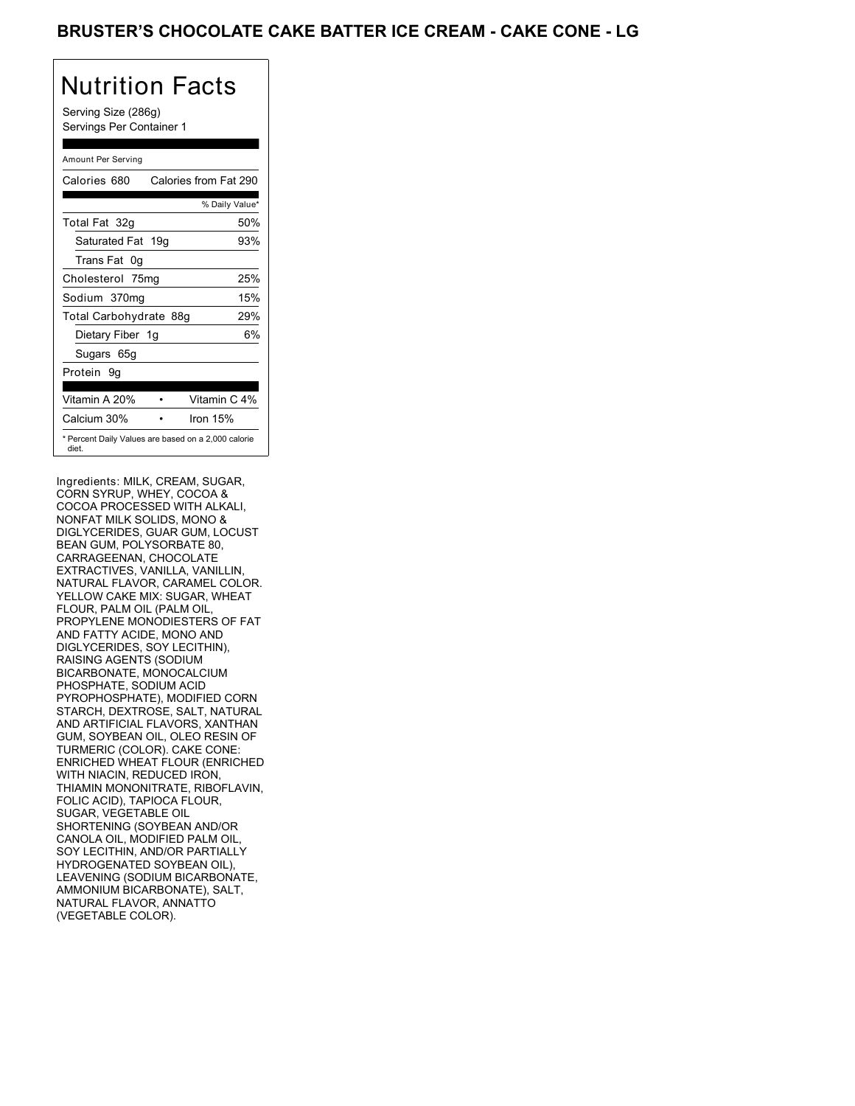## BRUSTER'S CHOCOLATE CAKE BATTER ICE CREAM - CAKE CONE - LG

# Nutrition Facts

Serving Size (286g) Servings Per Container 1

#### Amount Per Serving

| Calories 680                                                 | Calories from Fat 290 |
|--------------------------------------------------------------|-----------------------|
|                                                              | % Daily Value*        |
| Total Fat 32g                                                | 50%                   |
| Saturated Fat 19g                                            | 93%                   |
| Trans Fat 0q                                                 |                       |
| Cholesterol 75mg                                             | 25%                   |
| Sodium 370mg                                                 | 15%                   |
| Total Carbohydrate 88g                                       | 29%                   |
| Dietary Fiber 1g                                             | 6%                    |
| Sugars 65g                                                   |                       |
| Protein 9q                                                   |                       |
| Vitamin A 20%                                                | Vitamin C 4%          |
| Calcium 30%                                                  | Iron 15%              |
| * Percent Daily Values are based on a 2,000 calorie<br>diet. |                       |

Ingredients: MILK, CREAM, SUGAR, CORN SYRUP, WHEY, COCOA & COCOA PROCESSED WITH ALKALI, NONFAT MILK SOLIDS, MONO & DIGLYCERIDES, GUAR GUM, LOCUST BEAN GUM, POLYSORBATE 80, CARRAGEENAN, CHOCOLATE EXTRACTIVES, VANILLA, VANILLIN, NATURAL FLAVOR, CARAMEL COLOR. YELLOW CAKE MIX: SUGAR, WHEAT FLOUR, PALM OIL (PALM OIL, PROPYLENE MONODIESTERS OF FAT AND FATTY ACIDE, MONO AND DIGLYCERIDES, SOY LECITHIN), RAISING AGENTS (SODIUM BICARBONATE, MONOCALCIUM PHOSPHATE, SODIUM ACID PYROPHOSPHATE), MODIFIED CORN STARCH, DEXTROSE, SALT, NATURAL AND ARTIFICIAL FLAVORS, XANTHAN GUM, SOYBEAN OIL, OLEO RESIN OF TURMERIC (COLOR). CAKE CONE: ENRICHED WHEAT FLOUR (ENRICHED WITH NIACIN, REDUCED IRON, THIAMIN MONONITRATE, RIBOFLAVIN, FOLIC ACID), TAPIOCA FLOUR, SUGAR, VEGETABLE OIL SHORTENING (SOYBEAN AND/OR CANOLA OIL, MODIFIED PALM OIL, SOY LECITHIN, AND/OR PARTIALLY HYDROGENATED SOYBEAN OIL), LEAVENING (SODIUM BICARBONATE, AMMONIUM BICARBONATE), SALT, NATURAL FLAVOR, ANNATTO (VEGETABLE COLOR).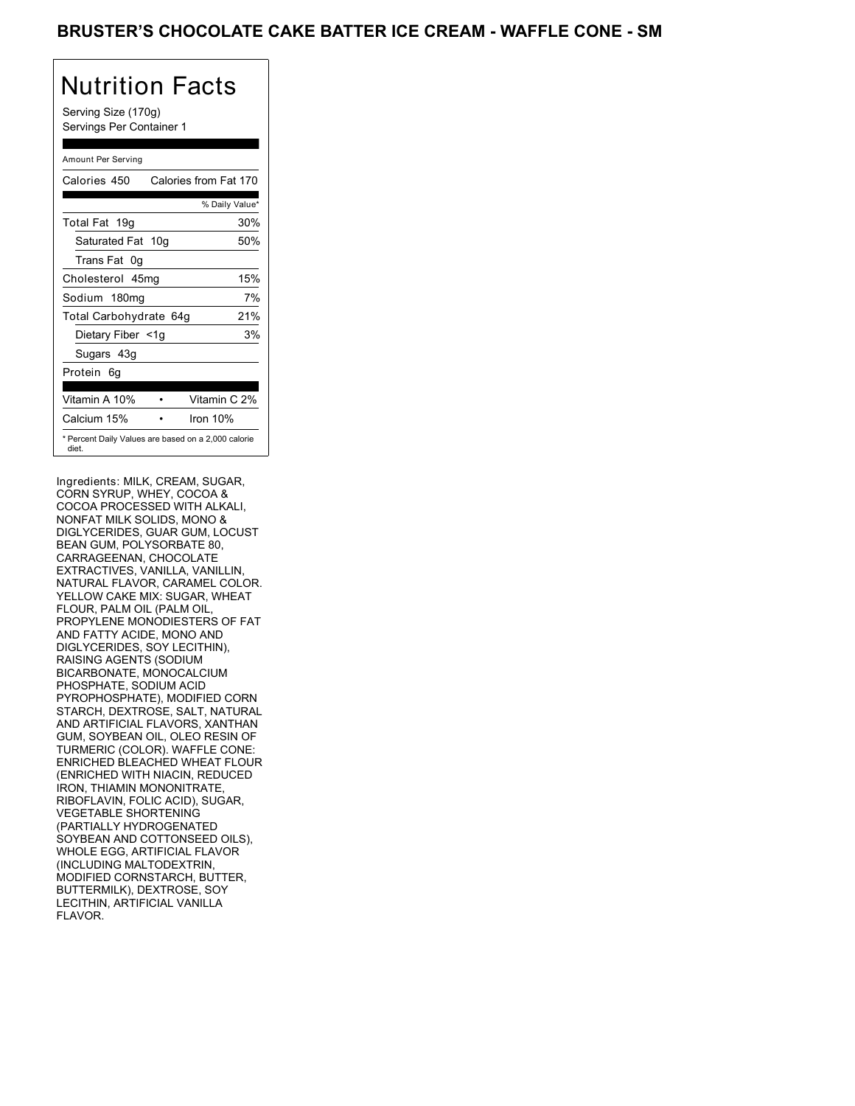## BRUSTER'S CHOCOLATE CAKE BATTER ICE CREAM - WAFFLE CONE - SM

# Nutrition Facts

Serving Size (170g) Servings Per Container 1

#### Amount Per Serving

| Calories 450                                                 | Calories from Fat 170 |
|--------------------------------------------------------------|-----------------------|
|                                                              | % Daily Value*        |
| Total Fat 19g                                                | 30%                   |
| Saturated Fat 10g                                            | 50%                   |
| Trans Fat 0q                                                 |                       |
| Cholesterol 45mg                                             | 15%                   |
| Sodium 180mg                                                 | 7%                    |
| Total Carbohydrate 64g                                       | 21%                   |
| Dietary Fiber <1g                                            | 3%                    |
| Sugars 43g                                                   |                       |
| Protein 6q                                                   |                       |
| Vitamin A 10%                                                | Vitamin C 2%          |
| Calcium 15%                                                  | Iron $10%$            |
| * Percent Daily Values are based on a 2,000 calorie<br>diet. |                       |

Ingredients: MILK, CREAM, SUGAR, CORN SYRUP, WHEY, COCOA & COCOA PROCESSED WITH ALKALI, NONFAT MILK SOLIDS, MONO & DIGLYCERIDES, GUAR GUM, LOCUST BEAN GUM, POLYSORBATE 80, CARRAGEENAN, CHOCOLATE EXTRACTIVES, VANILLA, VANILLIN, NATURAL FLAVOR, CARAMEL COLOR. YELLOW CAKE MIX: SUGAR, WHEAT FLOUR, PALM OIL (PALM OIL, PROPYLENE MONODIESTERS OF FAT AND FATTY ACIDE, MONO AND DIGLYCERIDES, SOY LECITHIN), RAISING AGENTS (SODIUM BICARBONATE, MONOCALCIUM PHOSPHATE, SODIUM ACID PYROPHOSPHATE), MODIFIED CORN STARCH, DEXTROSE, SALT, NATURAL AND ARTIFICIAL FLAVORS, XANTHAN GUM, SOYBEAN OIL, OLEO RESIN OF TURMERIC (COLOR). WAFFLE CONE: ENRICHED BLEACHED WHEAT FLOUR (ENRICHED WITH NIACIN, REDUCED IRON, THIAMIN MONONITRATE, RIBOFLAVIN, FOLIC ACID), SUGAR, VEGETABLE SHORTENING (PARTIALLY HYDROGENATED SOYBEAN AND COTTONSEED OILS), WHOLE EGG, ARTIFICIAL FLAVOR (INCLUDING MALTODEXTRIN, MODIFIED CORNSTARCH, BUTTER, BUTTERMILK), DEXTROSE, SOY LECITHIN, ARTIFICIAL VANILLA FLAVOR.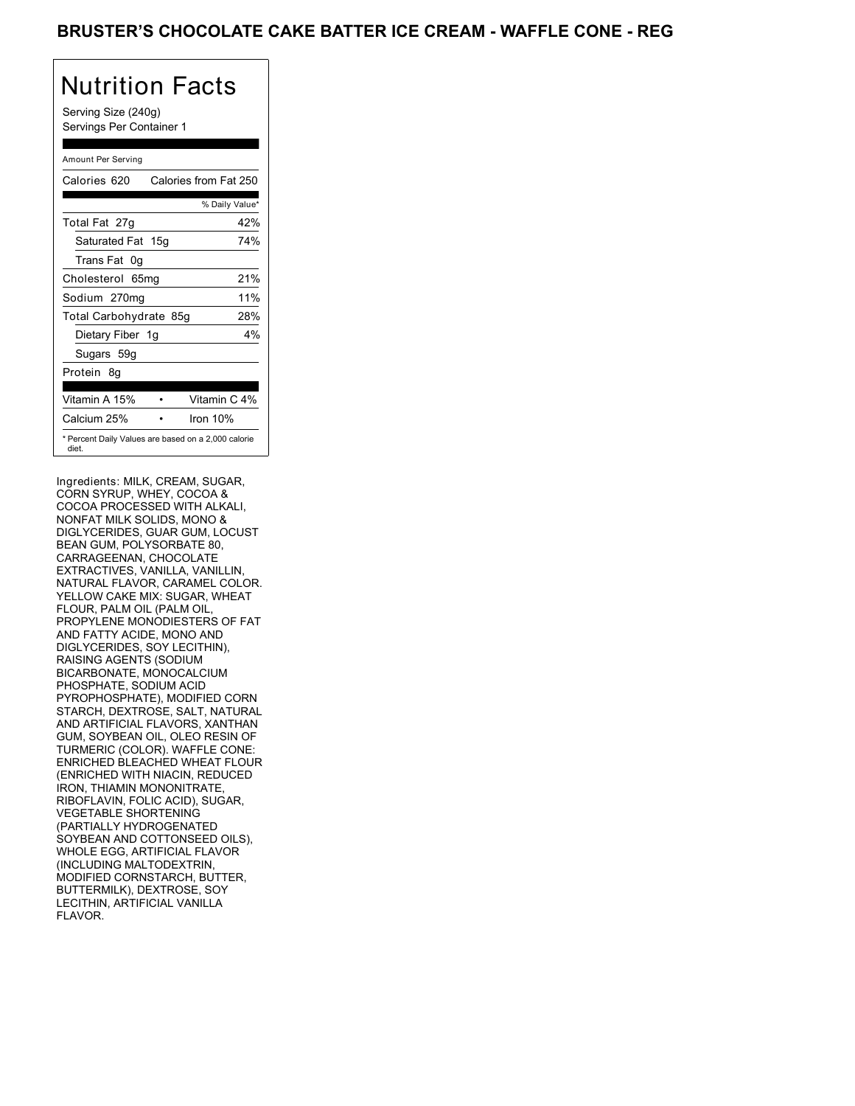## BRUSTER'S CHOCOLATE CAKE BATTER ICE CREAM - WAFFLE CONE - REG

# Nutrition Facts

Serving Size (240g) Servings Per Container 1

#### Amount Per Serving

| Calories 620                                                 | Calories from Fat 250 |
|--------------------------------------------------------------|-----------------------|
|                                                              | % Daily Value*        |
| Total Fat 27g                                                | 42%                   |
| Saturated Fat 15g                                            | 74%                   |
| Trans Fat 0q                                                 |                       |
| Cholesterol 65mg                                             | 21%                   |
| Sodium 270mg                                                 | 11%                   |
| Total Carbohydrate 85g                                       | 28%                   |
| Dietary Fiber 1g                                             | $4\%$                 |
| Sugars 59g                                                   |                       |
| Protein 8q                                                   |                       |
| Vitamin A 15%                                                | Vitamin C 4%          |
| Calcium 25%                                                  | Iron $10%$            |
| * Percent Daily Values are based on a 2,000 calorie<br>diet. |                       |

Ingredients: MILK, CREAM, SUGAR, CORN SYRUP, WHEY, COCOA & COCOA PROCESSED WITH ALKALI, NONFAT MILK SOLIDS, MONO & DIGLYCERIDES, GUAR GUM, LOCUST BEAN GUM, POLYSORBATE 80, CARRAGEENAN, CHOCOLATE EXTRACTIVES, VANILLA, VANILLIN, NATURAL FLAVOR, CARAMEL COLOR. YELLOW CAKE MIX: SUGAR, WHEAT FLOUR, PALM OIL (PALM OIL, PROPYLENE MONODIESTERS OF FAT AND FATTY ACIDE, MONO AND DIGLYCERIDES, SOY LECITHIN), RAISING AGENTS (SODIUM BICARBONATE, MONOCALCIUM PHOSPHATE, SODIUM ACID PYROPHOSPHATE), MODIFIED CORN STARCH, DEXTROSE, SALT, NATURAL AND ARTIFICIAL FLAVORS, XANTHAN GUM, SOYBEAN OIL, OLEO RESIN OF TURMERIC (COLOR). WAFFLE CONE: ENRICHED BLEACHED WHEAT FLOUR (ENRICHED WITH NIACIN, REDUCED IRON, THIAMIN MONONITRATE, RIBOFLAVIN, FOLIC ACID), SUGAR, VEGETABLE SHORTENING (PARTIALLY HYDROGENATED SOYBEAN AND COTTONSEED OILS), WHOLE EGG, ARTIFICIAL FLAVOR (INCLUDING MALTODEXTRIN, MODIFIED CORNSTARCH, BUTTER, BUTTERMILK), DEXTROSE, SOY LECITHIN, ARTIFICIAL VANILLA FLAVOR.